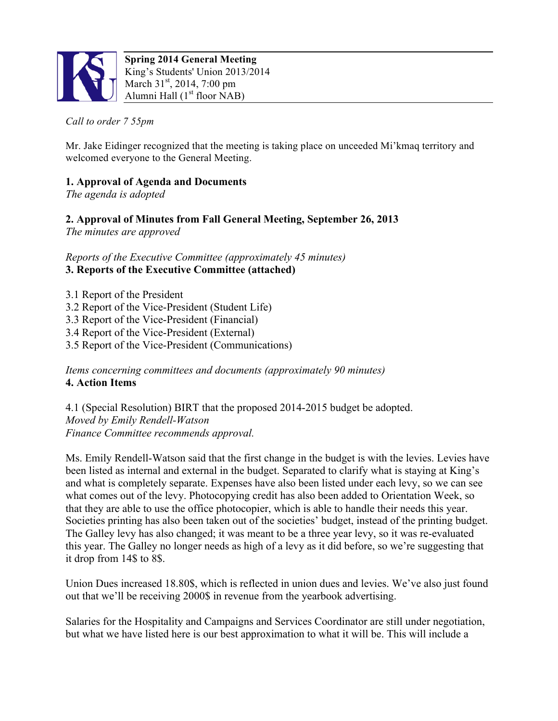

# *Call to order 7 55pm*

Mr. Jake Eidinger recognized that the meeting is taking place on unceeded Mi'kmaq territory and welcomed everyone to the General Meeting.

# **1. Approval of Agenda and Documents**

*The agenda is adopted*

**2. Approval of Minutes from Fall General Meeting, September 26, 2013**

*The minutes are approved*

*Reports of the Executive Committee (approximately 45 minutes)* **3. Reports of the Executive Committee (attached)**

3.1 Report of the President 3.2 Report of the Vice-President (Student Life) 3.3 Report of the Vice-President (Financial) 3.4 Report of the Vice-President (External) 3.5 Report of the Vice-President (Communications)

*Items concerning committees and documents (approximately 90 minutes)* **4. Action Items**

4.1 (Special Resolution) BIRT that the proposed 2014-2015 budget be adopted. *Moved by Emily Rendell-Watson Finance Committee recommends approval.*

Ms. Emily Rendell-Watson said that the first change in the budget is with the levies. Levies have been listed as internal and external in the budget. Separated to clarify what is staying at King's and what is completely separate. Expenses have also been listed under each levy, so we can see what comes out of the levy. Photocopying credit has also been added to Orientation Week, so that they are able to use the office photocopier, which is able to handle their needs this year. Societies printing has also been taken out of the societies' budget, instead of the printing budget. The Galley levy has also changed; it was meant to be a three year levy, so it was re-evaluated this year. The Galley no longer needs as high of a levy as it did before, so we're suggesting that it drop from 14\$ to 8\$.

Union Dues increased 18.80\$, which is reflected in union dues and levies. We've also just found out that we'll be receiving 2000\$ in revenue from the yearbook advertising.

Salaries for the Hospitality and Campaigns and Services Coordinator are still under negotiation, but what we have listed here is our best approximation to what it will be. This will include a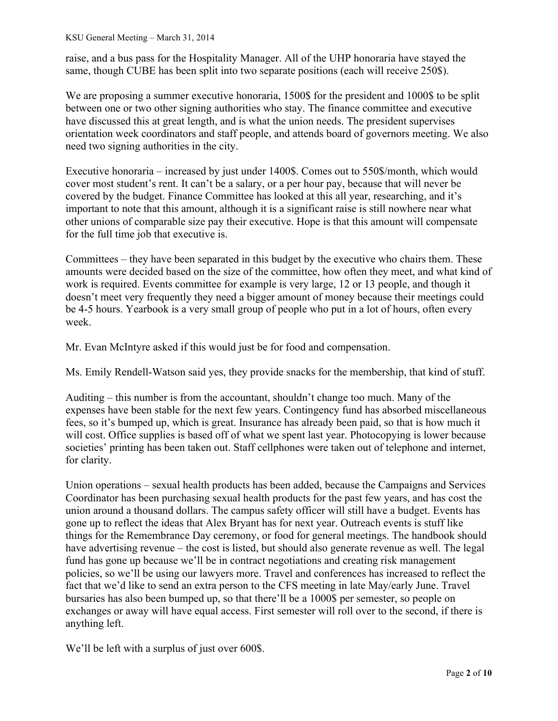raise, and a bus pass for the Hospitality Manager. All of the UHP honoraria have stayed the same, though CUBE has been split into two separate positions (each will receive 250\$).

We are proposing a summer executive honoraria, 1500\$ for the president and 1000\$ to be split between one or two other signing authorities who stay. The finance committee and executive have discussed this at great length, and is what the union needs. The president supervises orientation week coordinators and staff people, and attends board of governors meeting. We also need two signing authorities in the city.

Executive honoraria – increased by just under 1400\$. Comes out to 550\$/month, which would cover most student's rent. It can't be a salary, or a per hour pay, because that will never be covered by the budget. Finance Committee has looked at this all year, researching, and it's important to note that this amount, although it is a significant raise is still nowhere near what other unions of comparable size pay their executive. Hope is that this amount will compensate for the full time job that executive is.

Committees – they have been separated in this budget by the executive who chairs them. These amounts were decided based on the size of the committee, how often they meet, and what kind of work is required. Events committee for example is very large, 12 or 13 people, and though it doesn't meet very frequently they need a bigger amount of money because their meetings could be 4-5 hours. Yearbook is a very small group of people who put in a lot of hours, often every week.

Mr. Evan McIntyre asked if this would just be for food and compensation.

Ms. Emily Rendell-Watson said yes, they provide snacks for the membership, that kind of stuff.

Auditing – this number is from the accountant, shouldn't change too much. Many of the expenses have been stable for the next few years. Contingency fund has absorbed miscellaneous fees, so it's bumped up, which is great. Insurance has already been paid, so that is how much it will cost. Office supplies is based off of what we spent last year. Photocopying is lower because societies' printing has been taken out. Staff cellphones were taken out of telephone and internet, for clarity.

Union operations – sexual health products has been added, because the Campaigns and Services Coordinator has been purchasing sexual health products for the past few years, and has cost the union around a thousand dollars. The campus safety officer will still have a budget. Events has gone up to reflect the ideas that Alex Bryant has for next year. Outreach events is stuff like things for the Remembrance Day ceremony, or food for general meetings. The handbook should have advertising revenue – the cost is listed, but should also generate revenue as well. The legal fund has gone up because we'll be in contract negotiations and creating risk management policies, so we'll be using our lawyers more. Travel and conferences has increased to reflect the fact that we'd like to send an extra person to the CFS meeting in late May/early June. Travel bursaries has also been bumped up, so that there'll be a 1000\$ per semester, so people on exchanges or away will have equal access. First semester will roll over to the second, if there is anything left.

We'll be left with a surplus of just over 600\$.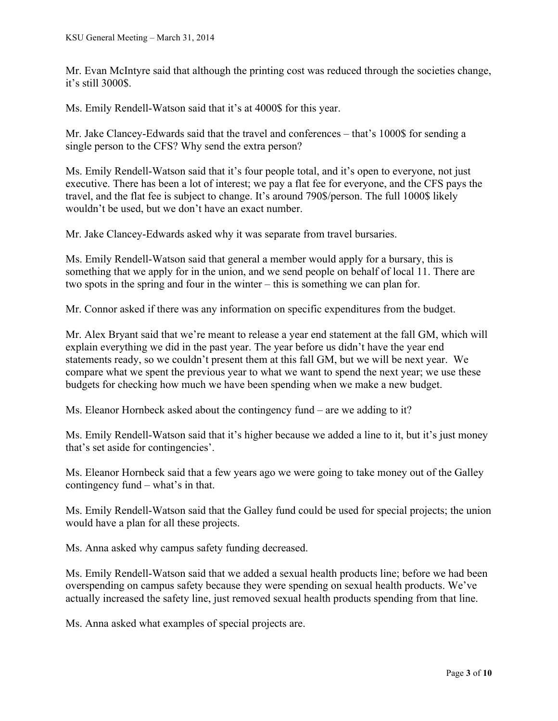Mr. Evan McIntyre said that although the printing cost was reduced through the societies change, it's still 3000\$.

Ms. Emily Rendell-Watson said that it's at 4000\$ for this year.

Mr. Jake Clancey-Edwards said that the travel and conferences – that's 1000\$ for sending a single person to the CFS? Why send the extra person?

Ms. Emily Rendell-Watson said that it's four people total, and it's open to everyone, not just executive. There has been a lot of interest; we pay a flat fee for everyone, and the CFS pays the travel, and the flat fee is subject to change. It's around 790\$/person. The full 1000\$ likely wouldn't be used, but we don't have an exact number.

Mr. Jake Clancey-Edwards asked why it was separate from travel bursaries.

Ms. Emily Rendell-Watson said that general a member would apply for a bursary, this is something that we apply for in the union, and we send people on behalf of local 11. There are two spots in the spring and four in the winter – this is something we can plan for.

Mr. Connor asked if there was any information on specific expenditures from the budget.

Mr. Alex Bryant said that we're meant to release a year end statement at the fall GM, which will explain everything we did in the past year. The year before us didn't have the year end statements ready, so we couldn't present them at this fall GM, but we will be next year. We compare what we spent the previous year to what we want to spend the next year; we use these budgets for checking how much we have been spending when we make a new budget.

Ms. Eleanor Hornbeck asked about the contingency fund – are we adding to it?

Ms. Emily Rendell-Watson said that it's higher because we added a line to it, but it's just money that's set aside for contingencies'.

Ms. Eleanor Hornbeck said that a few years ago we were going to take money out of the Galley contingency fund – what's in that.

Ms. Emily Rendell-Watson said that the Galley fund could be used for special projects; the union would have a plan for all these projects.

Ms. Anna asked why campus safety funding decreased.

Ms. Emily Rendell-Watson said that we added a sexual health products line; before we had been overspending on campus safety because they were spending on sexual health products. We've actually increased the safety line, just removed sexual health products spending from that line.

Ms. Anna asked what examples of special projects are.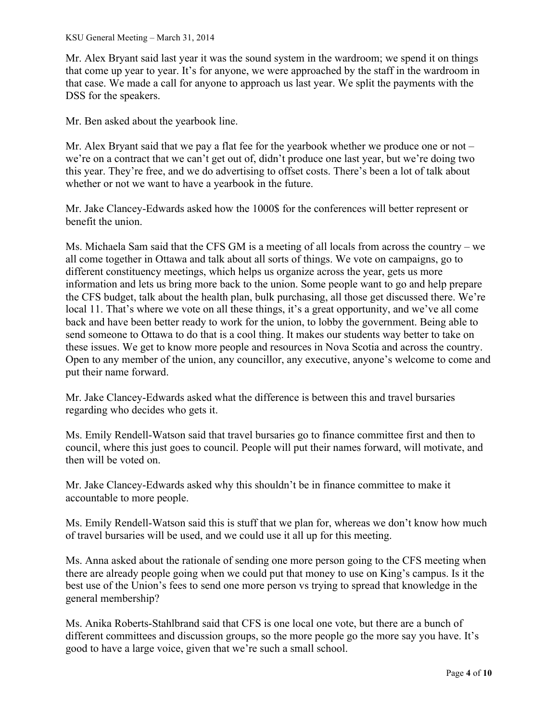Mr. Alex Bryant said last year it was the sound system in the wardroom; we spend it on things that come up year to year. It's for anyone, we were approached by the staff in the wardroom in that case. We made a call for anyone to approach us last year. We split the payments with the DSS for the speakers.

Mr. Ben asked about the yearbook line.

Mr. Alex Bryant said that we pay a flat fee for the yearbook whether we produce one or not – we're on a contract that we can't get out of, didn't produce one last year, but we're doing two this year. They're free, and we do advertising to offset costs. There's been a lot of talk about whether or not we want to have a yearbook in the future.

Mr. Jake Clancey-Edwards asked how the 1000\$ for the conferences will better represent or benefit the union.

Ms. Michaela Sam said that the CFS GM is a meeting of all locals from across the country – we all come together in Ottawa and talk about all sorts of things. We vote on campaigns, go to different constituency meetings, which helps us organize across the year, gets us more information and lets us bring more back to the union. Some people want to go and help prepare the CFS budget, talk about the health plan, bulk purchasing, all those get discussed there. We're local 11. That's where we vote on all these things, it's a great opportunity, and we've all come back and have been better ready to work for the union, to lobby the government. Being able to send someone to Ottawa to do that is a cool thing. It makes our students way better to take on these issues. We get to know more people and resources in Nova Scotia and across the country. Open to any member of the union, any councillor, any executive, anyone's welcome to come and put their name forward.

Mr. Jake Clancey-Edwards asked what the difference is between this and travel bursaries regarding who decides who gets it.

Ms. Emily Rendell-Watson said that travel bursaries go to finance committee first and then to council, where this just goes to council. People will put their names forward, will motivate, and then will be voted on.

Mr. Jake Clancey-Edwards asked why this shouldn't be in finance committee to make it accountable to more people.

Ms. Emily Rendell-Watson said this is stuff that we plan for, whereas we don't know how much of travel bursaries will be used, and we could use it all up for this meeting.

Ms. Anna asked about the rationale of sending one more person going to the CFS meeting when there are already people going when we could put that money to use on King's campus. Is it the best use of the Union's fees to send one more person vs trying to spread that knowledge in the general membership?

Ms. Anika Roberts-Stahlbrand said that CFS is one local one vote, but there are a bunch of different committees and discussion groups, so the more people go the more say you have. It's good to have a large voice, given that we're such a small school.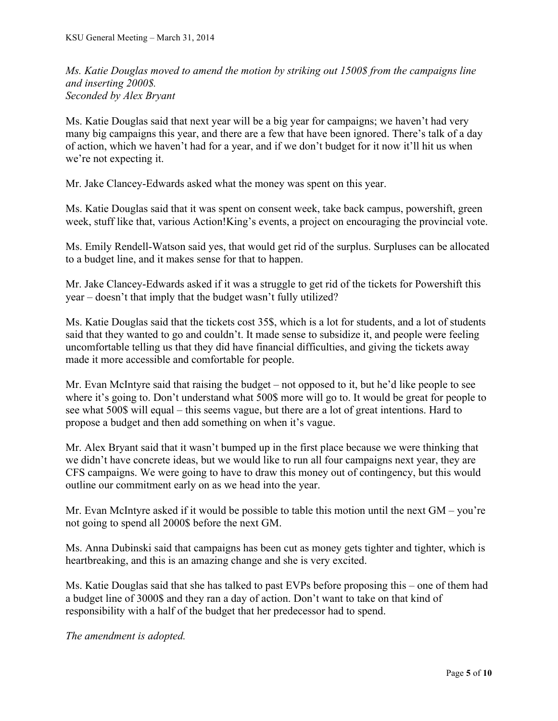*Ms. Katie Douglas moved to amend the motion by striking out 1500\$ from the campaigns line and inserting 2000\$. Seconded by Alex Bryant*

Ms. Katie Douglas said that next year will be a big year for campaigns; we haven't had very many big campaigns this year, and there are a few that have been ignored. There's talk of a day of action, which we haven't had for a year, and if we don't budget for it now it'll hit us when we're not expecting it.

Mr. Jake Clancey-Edwards asked what the money was spent on this year.

Ms. Katie Douglas said that it was spent on consent week, take back campus, powershift, green week, stuff like that, various Action!King's events, a project on encouraging the provincial vote.

Ms. Emily Rendell-Watson said yes, that would get rid of the surplus. Surpluses can be allocated to a budget line, and it makes sense for that to happen.

Mr. Jake Clancey-Edwards asked if it was a struggle to get rid of the tickets for Powershift this year – doesn't that imply that the budget wasn't fully utilized?

Ms. Katie Douglas said that the tickets cost 35\$, which is a lot for students, and a lot of students said that they wanted to go and couldn't. It made sense to subsidize it, and people were feeling uncomfortable telling us that they did have financial difficulties, and giving the tickets away made it more accessible and comfortable for people.

Mr. Evan McIntyre said that raising the budget – not opposed to it, but he'd like people to see where it's going to. Don't understand what 500\$ more will go to. It would be great for people to see what 500\$ will equal – this seems vague, but there are a lot of great intentions. Hard to propose a budget and then add something on when it's vague.

Mr. Alex Bryant said that it wasn't bumped up in the first place because we were thinking that we didn't have concrete ideas, but we would like to run all four campaigns next year, they are CFS campaigns. We were going to have to draw this money out of contingency, but this would outline our commitment early on as we head into the year.

Mr. Evan McIntyre asked if it would be possible to table this motion until the next GM – you're not going to spend all 2000\$ before the next GM.

Ms. Anna Dubinski said that campaigns has been cut as money gets tighter and tighter, which is heartbreaking, and this is an amazing change and she is very excited.

Ms. Katie Douglas said that she has talked to past EVPs before proposing this – one of them had a budget line of 3000\$ and they ran a day of action. Don't want to take on that kind of responsibility with a half of the budget that her predecessor had to spend.

*The amendment is adopted.*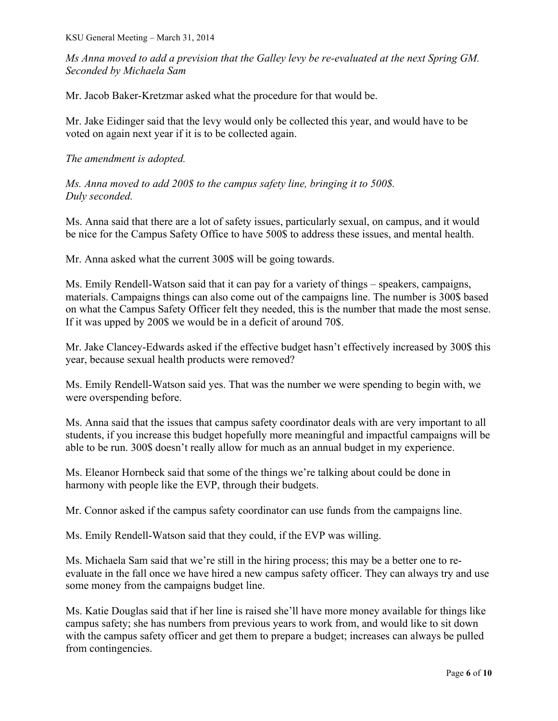*Ms Anna moved to add a prevision that the Galley levy be re-evaluated at the next Spring GM. Seconded by Michaela Sam*

Mr. Jacob Baker-Kretzmar asked what the procedure for that would be.

Mr. Jake Eidinger said that the levy would only be collected this year, and would have to be voted on again next year if it is to be collected again.

### *The amendment is adopted.*

*Ms. Anna moved to add 200\$ to the campus safety line, bringing it to 500\$. Duly seconded.*

Ms. Anna said that there are a lot of safety issues, particularly sexual, on campus, and it would be nice for the Campus Safety Office to have 500\$ to address these issues, and mental health.

Mr. Anna asked what the current 300\$ will be going towards.

Ms. Emily Rendell-Watson said that it can pay for a variety of things – speakers, campaigns, materials. Campaigns things can also come out of the campaigns line. The number is 300\$ based on what the Campus Safety Officer felt they needed, this is the number that made the most sense. If it was upped by 200\$ we would be in a deficit of around 70\$.

Mr. Jake Clancey-Edwards asked if the effective budget hasn't effectively increased by 300\$ this year, because sexual health products were removed?

Ms. Emily Rendell-Watson said yes. That was the number we were spending to begin with, we were overspending before.

Ms. Anna said that the issues that campus safety coordinator deals with are very important to all students, if you increase this budget hopefully more meaningful and impactful campaigns will be able to be run. 300\$ doesn't really allow for much as an annual budget in my experience.

Ms. Eleanor Hornbeck said that some of the things we're talking about could be done in harmony with people like the EVP, through their budgets.

Mr. Connor asked if the campus safety coordinator can use funds from the campaigns line.

Ms. Emily Rendell-Watson said that they could, if the EVP was willing.

Ms. Michaela Sam said that we're still in the hiring process; this may be a better one to reevaluate in the fall once we have hired a new campus safety officer. They can always try and use some money from the campaigns budget line.

Ms. Katie Douglas said that if her line is raised she'll have more money available for things like campus safety; she has numbers from previous years to work from, and would like to sit down with the campus safety officer and get them to prepare a budget; increases can always be pulled from contingencies.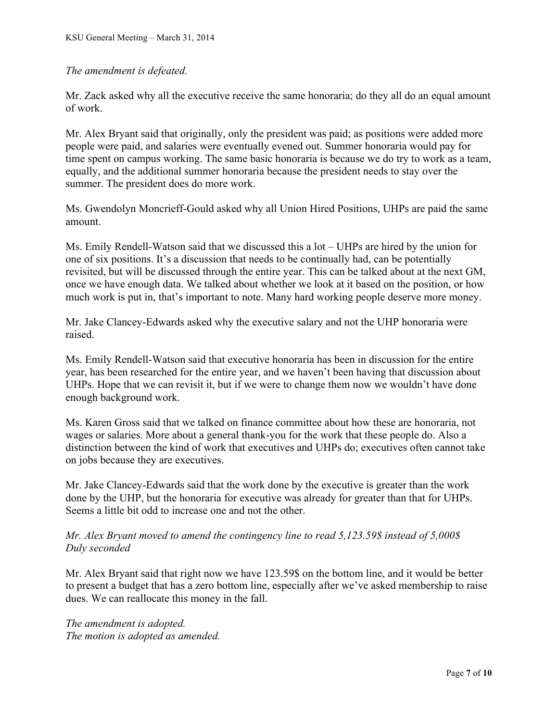## *The amendment is defeated.*

Mr. Zack asked why all the executive receive the same honoraria; do they all do an equal amount of work.

Mr. Alex Bryant said that originally, only the president was paid; as positions were added more people were paid, and salaries were eventually evened out. Summer honoraria would pay for time spent on campus working. The same basic honoraria is because we do try to work as a team, equally, and the additional summer honoraria because the president needs to stay over the summer. The president does do more work.

Ms. Gwendolyn Moncrieff-Gould asked why all Union Hired Positions, UHPs are paid the same amount.

Ms. Emily Rendell-Watson said that we discussed this a lot – UHPs are hired by the union for one of six positions. It's a discussion that needs to be continually had, can be potentially revisited, but will be discussed through the entire year. This can be talked about at the next GM, once we have enough data. We talked about whether we look at it based on the position, or how much work is put in, that's important to note. Many hard working people deserve more money.

Mr. Jake Clancey-Edwards asked why the executive salary and not the UHP honoraria were raised.

Ms. Emily Rendell-Watson said that executive honoraria has been in discussion for the entire year, has been researched for the entire year, and we haven't been having that discussion about UHPs. Hope that we can revisit it, but if we were to change them now we wouldn't have done enough background work.

Ms. Karen Gross said that we talked on finance committee about how these are honoraria, not wages or salaries. More about a general thank-you for the work that these people do. Also a distinction between the kind of work that executives and UHPs do; executives often cannot take on jobs because they are executives.

Mr. Jake Clancey-Edwards said that the work done by the executive is greater than the work done by the UHP, but the honoraria for executive was already for greater than that for UHPs. Seems a little bit odd to increase one and not the other.

## *Mr. Alex Bryant moved to amend the contingency line to read 5,123.59\$ instead of 5,000\$ Duly seconded*

Mr. Alex Bryant said that right now we have 123.59\$ on the bottom line, and it would be better to present a budget that has a zero bottom line, especially after we've asked membership to raise dues. We can reallocate this money in the fall.

*The amendment is adopted. The motion is adopted as amended.*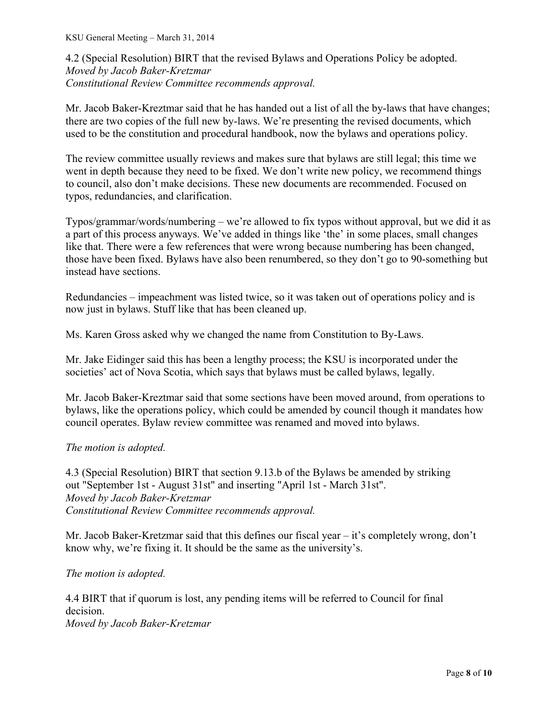4.2 (Special Resolution) BIRT that the revised Bylaws and Operations Policy be adopted. *Moved by Jacob Baker-Kretzmar Constitutional Review Committee recommends approval.*

Mr. Jacob Baker-Kreztmar said that he has handed out a list of all the by-laws that have changes; there are two copies of the full new by-laws. We're presenting the revised documents, which used to be the constitution and procedural handbook, now the bylaws and operations policy.

The review committee usually reviews and makes sure that bylaws are still legal; this time we went in depth because they need to be fixed. We don't write new policy, we recommend things to council, also don't make decisions. These new documents are recommended. Focused on typos, redundancies, and clarification.

Typos/grammar/words/numbering – we're allowed to fix typos without approval, but we did it as a part of this process anyways. We've added in things like 'the' in some places, small changes like that. There were a few references that were wrong because numbering has been changed, those have been fixed. Bylaws have also been renumbered, so they don't go to 90-something but instead have sections.

Redundancies – impeachment was listed twice, so it was taken out of operations policy and is now just in bylaws. Stuff like that has been cleaned up.

Ms. Karen Gross asked why we changed the name from Constitution to By-Laws.

Mr. Jake Eidinger said this has been a lengthy process; the KSU is incorporated under the societies' act of Nova Scotia, which says that bylaws must be called bylaws, legally.

Mr. Jacob Baker-Kreztmar said that some sections have been moved around, from operations to bylaws, like the operations policy, which could be amended by council though it mandates how council operates. Bylaw review committee was renamed and moved into bylaws.

### *The motion is adopted.*

4.3 (Special Resolution) BIRT that section 9.13.b of the Bylaws be amended by striking out "September 1st - August 31st" and inserting "April 1st - March 31st". *Moved by Jacob Baker-Kretzmar Constitutional Review Committee recommends approval.*

Mr. Jacob Baker-Kretzmar said that this defines our fiscal year – it's completely wrong, don't know why, we're fixing it. It should be the same as the university's.

*The motion is adopted.*

4.4 BIRT that if quorum is lost, any pending items will be referred to Council for final decision. *Moved by Jacob Baker-Kretzmar*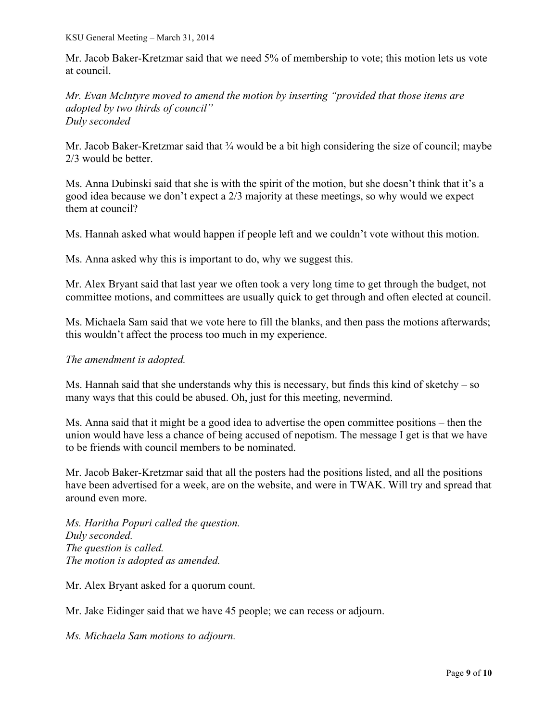Mr. Jacob Baker-Kretzmar said that we need 5% of membership to vote; this motion lets us vote at council.

*Mr. Evan McIntyre moved to amend the motion by inserting "provided that those items are adopted by two thirds of council" Duly seconded*

Mr. Jacob Baker-Kretzmar said that <sup>3</sup>/<sub>4</sub> would be a bit high considering the size of council; maybe 2/3 would be better.

Ms. Anna Dubinski said that she is with the spirit of the motion, but she doesn't think that it's a good idea because we don't expect a 2/3 majority at these meetings, so why would we expect them at council?

Ms. Hannah asked what would happen if people left and we couldn't vote without this motion.

Ms. Anna asked why this is important to do, why we suggest this.

Mr. Alex Bryant said that last year we often took a very long time to get through the budget, not committee motions, and committees are usually quick to get through and often elected at council.

Ms. Michaela Sam said that we vote here to fill the blanks, and then pass the motions afterwards; this wouldn't affect the process too much in my experience.

*The amendment is adopted.* 

Ms. Hannah said that she understands why this is necessary, but finds this kind of sketchy – so many ways that this could be abused. Oh, just for this meeting, nevermind.

Ms. Anna said that it might be a good idea to advertise the open committee positions – then the union would have less a chance of being accused of nepotism. The message I get is that we have to be friends with council members to be nominated.

Mr. Jacob Baker-Kretzmar said that all the posters had the positions listed, and all the positions have been advertised for a week, are on the website, and were in TWAK. Will try and spread that around even more.

*Ms. Haritha Popuri called the question. Duly seconded. The question is called. The motion is adopted as amended.*

Mr. Alex Bryant asked for a quorum count.

Mr. Jake Eidinger said that we have 45 people; we can recess or adjourn.

*Ms. Michaela Sam motions to adjourn.*